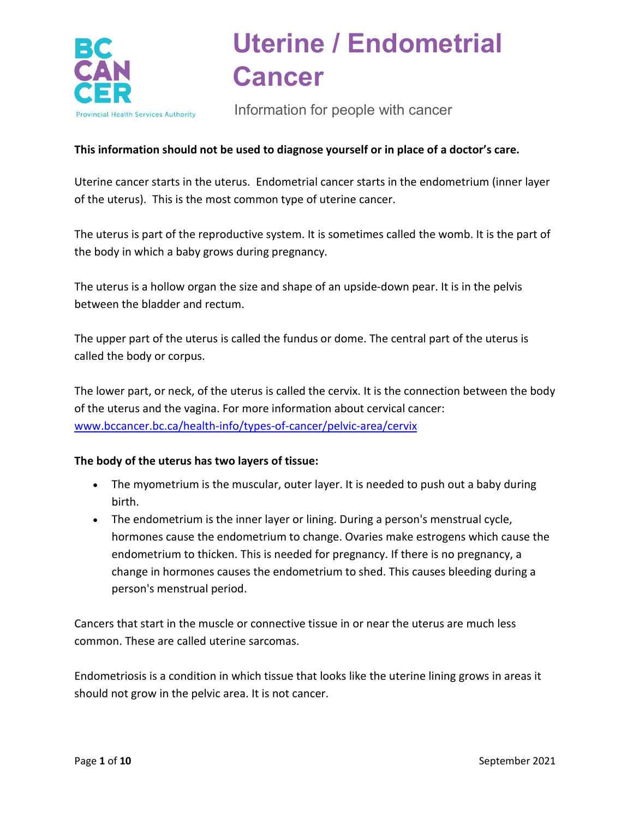

Information for people with cancer

### **This information should not be used to diagnose yourself or in place of a doctor's care.**

Uterine cancer starts in the uterus. Endometrial cancer starts in the endometrium (inner layer of the uterus). This is the most common type of uterine cancer.

The uterus is part of the reproductive system. It is sometimes called the womb. It is the part of the body in which a baby grows during pregnancy.

The uterus is a hollow organ the size and shape of an upside-down pear. It is in the pelvis between the bladder and rectum.

The upper part of the uterus is called the fundus or dome. The central part of the uterus is called the body or corpus.

The lower part, or neck, of the uterus is called the cervix. It is the connection between the body of the uterus and the vagina. For more information about cervical cancer: [www.bccancer.bc.ca/health-info/types-of-cancer/pelvic-area/cervix](http://www.bccancer.bc.ca/health-info/types-of-cancer/pelvic-area/cervix)

### **The body of the uterus has two layers of tissue:**

- The myometrium is the muscular, outer layer. It is needed to push out a baby during birth.
- The endometrium is the inner layer or lining. During a person's menstrual cycle, hormones cause the endometrium to change. Ovaries make estrogens which cause the endometrium to thicken. This is needed for pregnancy. If there is no pregnancy, a change in hormones causes the endometrium to shed. This causes bleeding during a person's menstrual period.

Cancers that start in the muscle or connective tissue in or near the uterus are much less common. These are called uterine sarcomas.

Endometriosis is a condition in which tissue that looks like the uterine lining grows in areas it should not grow in the pelvic area. It is not cancer.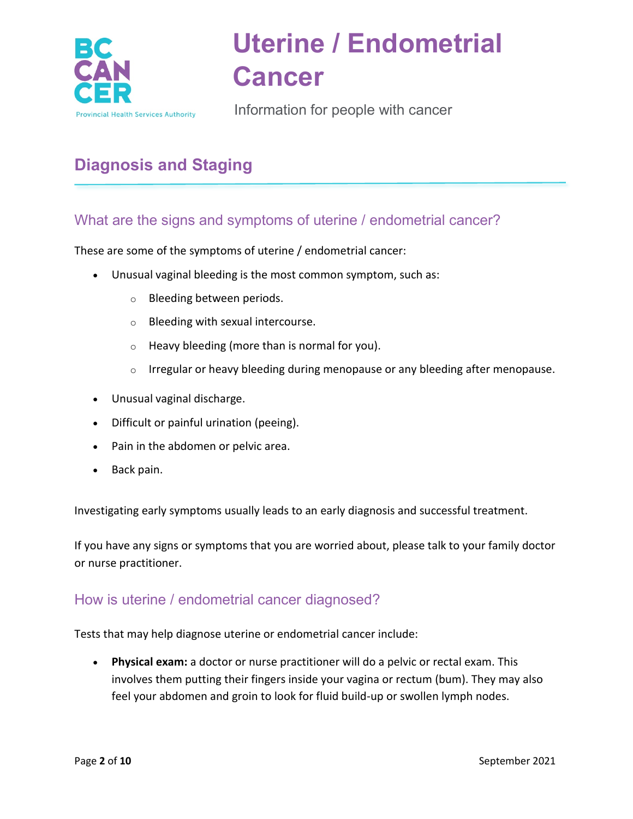

Information for people with cancer

# **Diagnosis and Staging**

## What are the signs and symptoms of uterine / endometrial cancer?

These are some of the symptoms of uterine / endometrial cancer:

- Unusual vaginal bleeding is the most common symptom, such as:
	- o Bleeding between periods.
	- o Bleeding with sexual intercourse.
	- o Heavy bleeding (more than is normal for you).
	- $\circ$  Irregular or heavy bleeding during menopause or any bleeding after menopause.
- Unusual vaginal discharge.
- Difficult or painful urination (peeing).
- Pain in the abdomen or pelvic area.
- Back pain.

Investigating early symptoms usually leads to an early diagnosis and successful treatment.

If you have any signs or symptoms that you are worried about, please talk to your family doctor or nurse practitioner.

### How is uterine / endometrial cancer diagnosed?

Tests that may help diagnose uterine or endometrial cancer include:

• **Physical exam:** a doctor or nurse practitioner will do a pelvic or rectal exam. This involves them putting their fingers inside your vagina or rectum (bum). They may also feel your abdomen and groin to look for fluid build-up or swollen lymph nodes.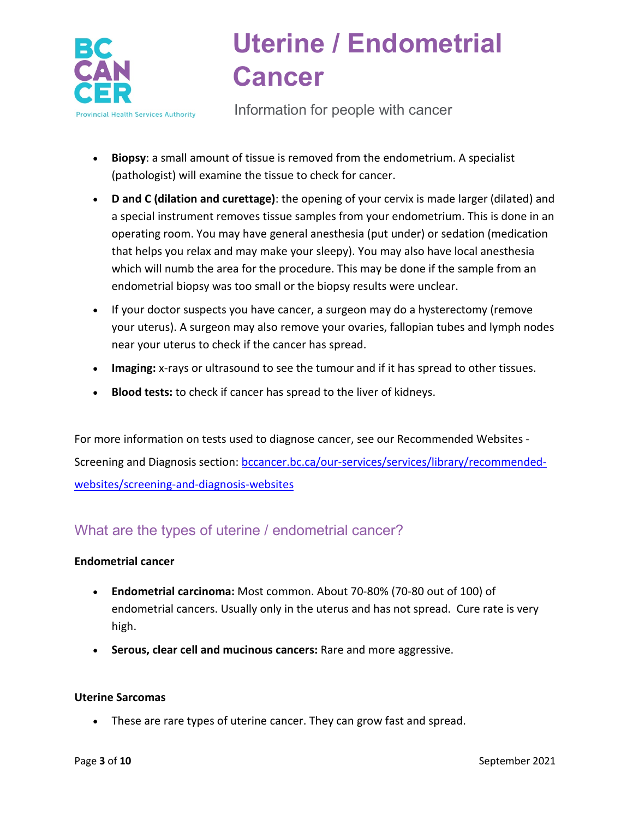

Information for people with cancer

- **Biopsy**: a small amount of tissue is removed from the endometrium. A specialist (pathologist) will examine the tissue to check for cancer.
- **D and C (dilation and curettage)**: the opening of your cervix is made larger (dilated) and a special instrument removes tissue samples from your endometrium. This is done in an operating room. You may have general anesthesia (put under) or sedation (medication that helps you relax and may make your sleepy). You may also have local anesthesia which will numb the area for the procedure. This may be done if the sample from an endometrial biopsy was too small or the biopsy results were unclear.
- If your doctor suspects you have cancer, a surgeon may do a hysterectomy (remove your uterus). A surgeon may also remove your ovaries, fallopian tubes and lymph nodes near your uterus to check if the cancer has spread.
- **Imaging:** x-rays or ultrasound to see the tumour and if it has spread to other tissues.
- **Blood tests:** to check if cancer has spread to the liver of kidneys.

For more information on tests used to diagnose cancer, see our Recommended Websites Screening and Diagnosis section: [bccancer.bc.ca/our-services/services/library/recommended](http://www.bccancer.bc.ca/our-services/services/library/recommended-websites/screening-and-diagnosis-websites)[websites/screening-and-diagnosis-websites](http://www.bccancer.bc.ca/our-services/services/library/recommended-websites/screening-and-diagnosis-websites)

## What are the types of uterine / endometrial cancer?

### **Endometrial cancer**

- **Endometrial carcinoma:** Most common. About 70-80% (70-80 out of 100) of endometrial cancers. Usually only in the uterus and has not spread. Cure rate is very high.
- **Serous, clear cell and mucinous cancers:** Rare and more aggressive.

### **Uterine Sarcomas**

• These are rare types of uterine cancer. They can grow fast and spread.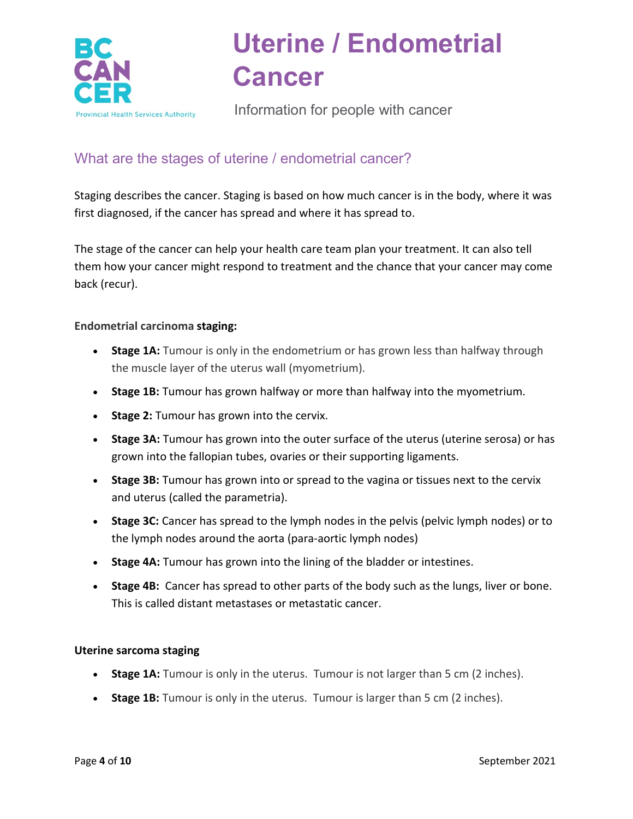

Information for people with cancer

## What are the stages of uterine / endometrial cancer?

Staging describes the cancer. Staging is based on how much cancer is in the body, where it was first diagnosed, if the cancer has spread and where it has spread to.

The stage of the cancer can help your health care team plan your treatment. It can also tell them how your cancer might respond to treatment and the chance that your cancer may come back (recur).

### **Endometrial carcinoma staging:**

- **Stage 1A:** Tumour is only in the endometrium or has grown less than halfway through the muscle layer of the uterus wall (myometrium).
- **Stage 1B:** Tumour has grown halfway or more than halfway into the myometrium.
- **Stage 2:** Tumour has grown into the cervix.
- **Stage 3A:** Tumour has grown into the outer surface of the uterus (uterine serosa) or has grown into the fallopian tubes, ovaries or their supporting ligaments.
- **Stage 3B:** Tumour has grown into or spread to the vagina or tissues next to the cervix and uterus (called the parametria).
- **Stage 3C:** Cancer has spread to the lymph nodes in the pelvis (pelvic lymph nodes) or to the lymph nodes around the aorta (para-aortic lymph nodes)
- **Stage 4A:** Tumour has grown into the lining of the bladder or intestines.
- **Stage 4B:** Cancer has spread to other parts of the body such as the lungs, liver or bone. This is called distant metastases or metastatic cancer.

### **Uterine sarcoma staging**

- **Stage 1A:** Tumour is only in the uterus. Tumour is not larger than 5 cm (2 inches).
- **Stage 1B:** Tumour is only in the uterus. Tumour is larger than 5 cm (2 inches).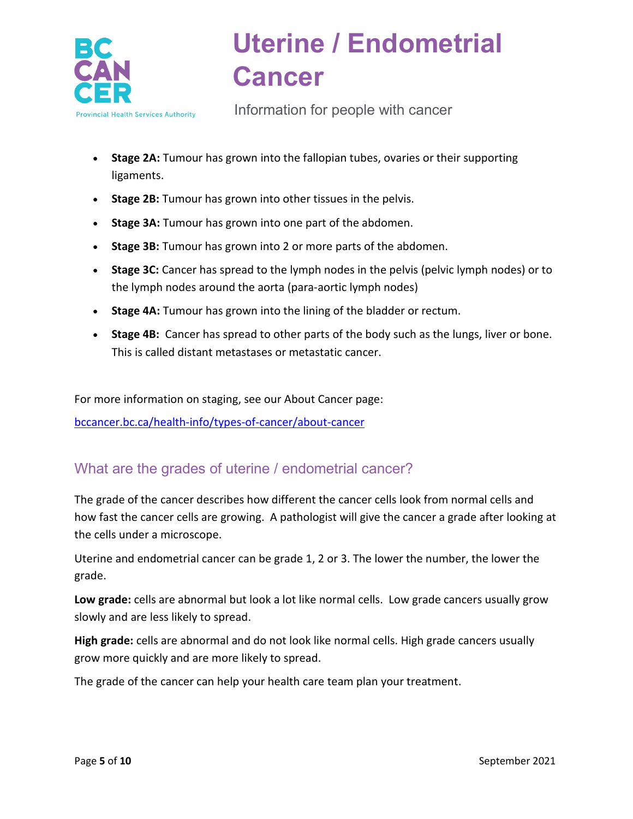

Information for people with cancer

- **Stage 2A:** Tumour has grown into the fallopian tubes, ovaries or their supporting ligaments.
- **Stage 2B:** Tumour has grown into other tissues in the pelvis.
- **Stage 3A:** Tumour has grown into one part of the abdomen.
- **Stage 3B:** Tumour has grown into 2 or more parts of the abdomen.
- **Stage 3C:** Cancer has spread to the lymph nodes in the pelvis (pelvic lymph nodes) or to the lymph nodes around the aorta (para-aortic lymph nodes)
- **Stage 4A:** Tumour has grown into the lining of the bladder or rectum.
- **Stage 4B:** Cancer has spread to other parts of the body such as the lungs, liver or bone. This is called distant metastases or metastatic cancer.

For more information on staging, see our About Cancer page:

[bccancer.bc.ca/health-info/types-of-cancer/about-cancer](http://www.bccancer.bc.ca/health-info/types-of-cancer/about-cancer)

## What are the grades of uterine / endometrial cancer?

The grade of the cancer describes how different the cancer cells look from normal cells and how fast the cancer cells are growing. A pathologist will give the cancer a grade after looking at the cells under a microscope.

Uterine and endometrial cancer can be grade 1, 2 or 3. The lower the number, the lower the grade.

**Low grade:** cells are abnormal but look a lot like normal cells. Low grade cancers usually grow slowly and are less likely to spread.

**High grade:** cells are abnormal and do not look like normal cells. High grade cancers usually grow more quickly and are more likely to spread.

The grade of the cancer can help your health care team plan your treatment.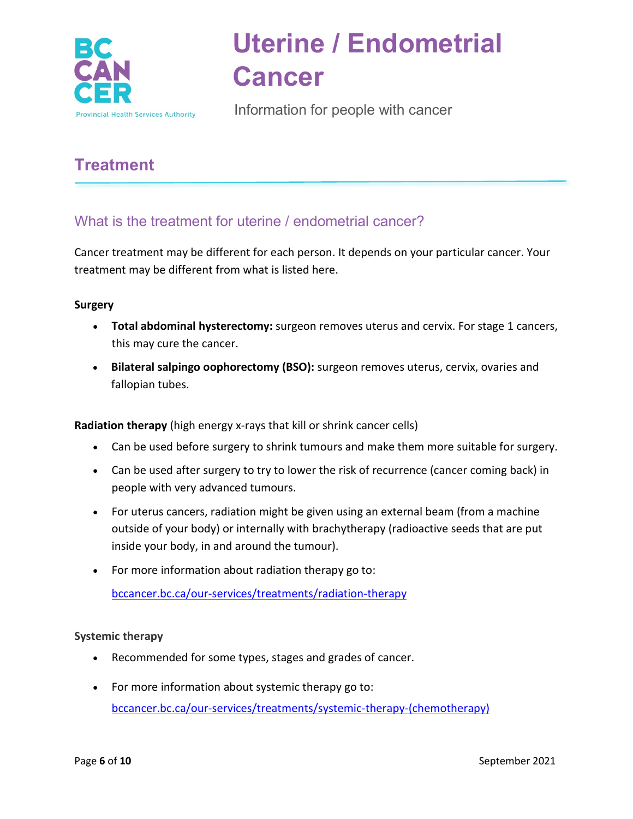

Information for people with cancer

## **Treatment**

## What is the treatment for uterine / endometrial cancer?

Cancer treatment may be different for each person. It depends on your particular cancer. Your treatment may be different from what is listed here.

### **Surgery**

- **Total abdominal hysterectomy:** surgeon removes uterus and cervix. For stage 1 cancers, this may cure the cancer.
- **Bilateral salpingo oophorectomy (BSO):** surgeon removes uterus, cervix, ovaries and fallopian tubes.

**Radiation therapy** (high energy x-rays that kill or shrink cancer cells)

- Can be used before surgery to shrink tumours and make them more suitable for surgery.
- Can be used after surgery to try to lower the risk of recurrence (cancer coming back) in people with very advanced tumours.
- For uterus cancers, radiation might be given using an external beam (from a machine outside of your body) or internally with brachytherapy (radioactive seeds that are put inside your body, in and around the tumour).
- For more information about radiation therapy go to:

[bccancer.bc.ca/our-services/treatments/radiation-therapy](http://www.bccancer.bc.ca/our-services/treatments/radiation-therapy)

### **Systemic therapy**

- Recommended for some types, stages and grades of cancer.
- For more information about systemic therapy go to: [bccancer.bc.ca/our-services/treatments/systemic-therapy-\(chemotherapy\)](http://www.bccancer.bc.ca/our-services/treatments/systemic-therapy-(chemotherapy))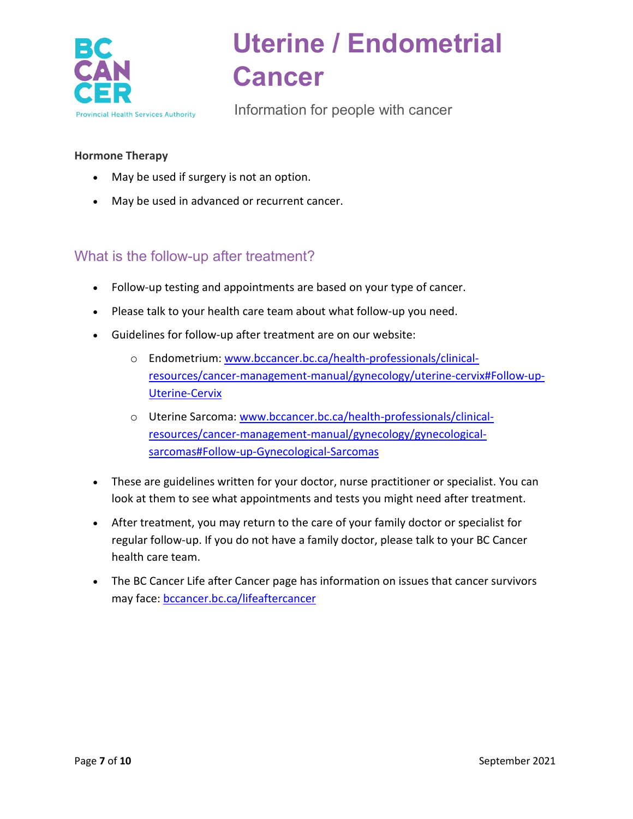

Information for people with cancer

### **Hormone Therapy**

- May be used if surgery is not an option.
- May be used in advanced or recurrent cancer.

### What is the follow-up after treatment?

- Follow-up testing and appointments are based on your type of cancer.
- Please talk to your health care team about what follow-up you need.
- Guidelines for follow-up after treatment are on our website:
	- o Endometrium: [www.bccancer.bc.ca/health-professionals/clinical](http://www.bccancer.bc.ca/health-professionals/clinical-resources/cancer-management-manual/gynecology/uterine-cervix#Follow-up-Uterine-Cervix)[resources/cancer-management-manual/gynecology/uterine-cervix#Follow-up-](http://www.bccancer.bc.ca/health-professionals/clinical-resources/cancer-management-manual/gynecology/uterine-cervix#Follow-up-Uterine-Cervix)[Uterine-Cervix](http://www.bccancer.bc.ca/health-professionals/clinical-resources/cancer-management-manual/gynecology/uterine-cervix#Follow-up-Uterine-Cervix)
	- o Uterine Sarcoma[: www.bccancer.bc.ca/health-professionals/clinical](http://www.bccancer.bc.ca/health-professionals/clinical-resources/cancer-management-manual/gynecology/gynecological-sarcomas#Follow-up-Gynecological-Sarcomas)[resources/cancer-management-manual/gynecology/gynecological](http://www.bccancer.bc.ca/health-professionals/clinical-resources/cancer-management-manual/gynecology/gynecological-sarcomas#Follow-up-Gynecological-Sarcomas)[sarcomas#Follow-up-Gynecological-Sarcomas](http://www.bccancer.bc.ca/health-professionals/clinical-resources/cancer-management-manual/gynecology/gynecological-sarcomas#Follow-up-Gynecological-Sarcomas)
- These are guidelines written for your doctor, nurse practitioner or specialist. You can look at them to see what appointments and tests you might need after treatment.
- After treatment, you may return to the care of your family doctor or specialist for regular follow-up. If you do not have a family doctor, please talk to your BC Cancer health care team.
- The BC Cancer Life after Cancer page has information on issues that cancer survivors may face: [bccancer.bc.ca/lifeaftercancer](http://www.bccancer.bc.ca/lifeaftercancer)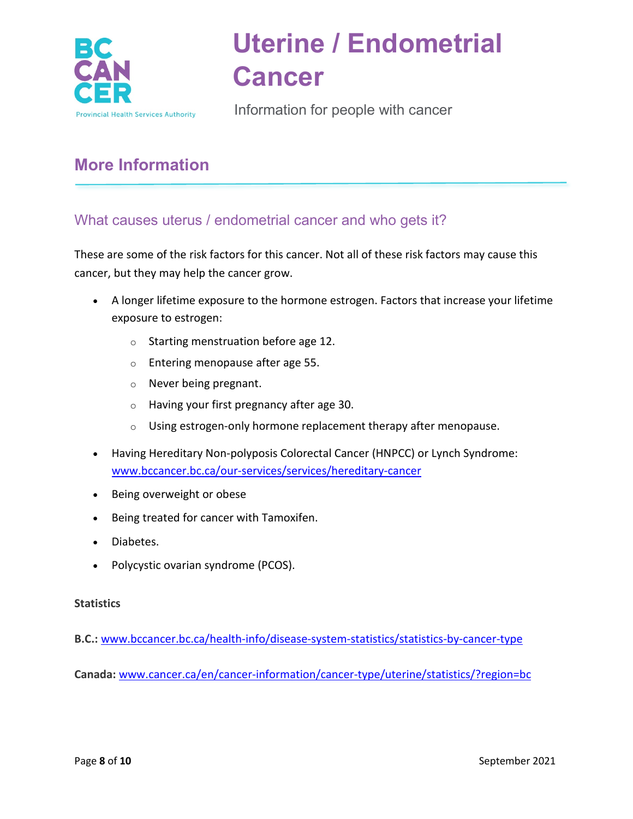

Information for people with cancer

## **More Information**

## What causes uterus / endometrial cancer and who gets it?

These are some of the risk factors for this cancer. Not all of these risk factors may cause this cancer, but they may help the cancer grow.

- A longer lifetime exposure to the hormone estrogen. Factors that increase your lifetime exposure to estrogen:
	- o Starting menstruation before age 12.
	- o Entering menopause after age 55.
	- o Never being pregnant.
	- o Having your first pregnancy after age 30.
	- o Using estrogen-only hormone replacement therapy after menopause.
- Having Hereditary Non-polyposis Colorectal Cancer (HNPCC) or Lynch Syndrome: [www.bccancer.bc.ca/our-services/services/hereditary-cancer](http://www.bccancer.bc.ca/our-services/services/hereditary-cancer)
- Being overweight or obese
- Being treated for cancer with Tamoxifen.
- Diabetes.
- Polycystic ovarian syndrome (PCOS).

### **Statistics**

**B.C.:** [www.bccancer.bc.ca/health-info/disease-system-statistics/statistics-by-cancer-type](http://www.bccancer.bc.ca/health-info/disease-system-statistics/statistics-by-cancer-type)

**Canada:** [www.cancer.ca/en/cancer-information/cancer-type/uterine/statistics/?region=bc](https://www.cancer.ca/en/cancer-information/cancer-type/uterine/statistics/?region=bc)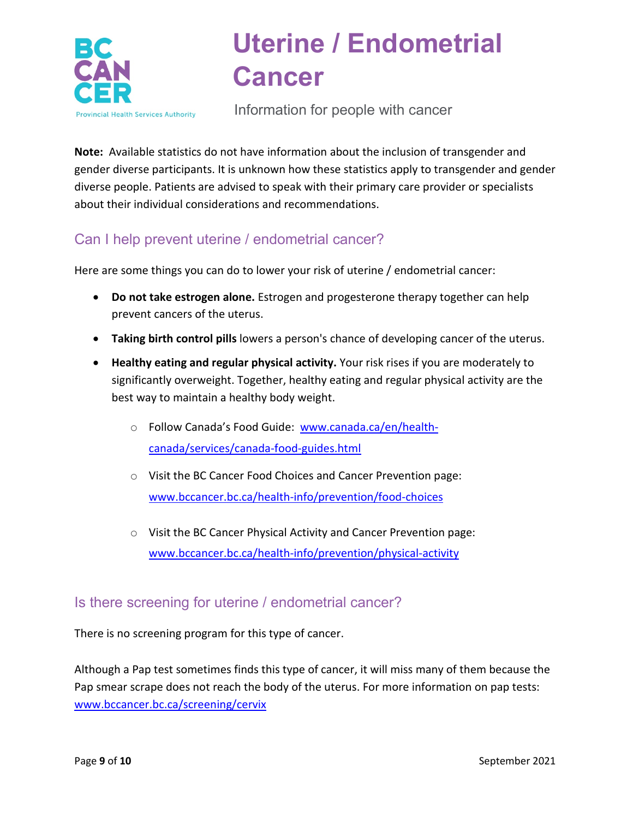

Information for people with cancer

**Note:** Available statistics do not have information about the inclusion of transgender and gender diverse participants. It is unknown how these statistics apply to transgender and gender diverse people. Patients are advised to speak with their primary care provider or specialists about their individual considerations and recommendations.

## Can I help prevent uterine / endometrial cancer?

Here are some things you can do to lower your risk of uterine / endometrial cancer:

- **Do not take estrogen alone.** Estrogen and progesterone therapy together can help prevent cancers of the uterus.
- **Taking birth control pills** lowers a person's chance of developing cancer of the uterus.
- **Healthy eating and regular physical activity.** Your risk rises if you are moderately to significantly overweight. Together, healthy eating and regular physical activity are the best way to maintain a healthy body weight.
	- o Follow Canada's Food Guide: [www.canada.ca/en/health](https://www.canada.ca/en/health-canada/services/canada-food-guides.html)[canada/services/canada-food-guides.html](https://www.canada.ca/en/health-canada/services/canada-food-guides.html)
	- o Visit the BC Cancer Food Choices and Cancer Prevention page: [www.bccancer.bc.ca/health-info/prevention/food-choices](http://www.bccancer.bc.ca/health-info/prevention/food-choices)
	- o Visit the BC Cancer Physical Activity and Cancer Prevention page: [www.bccancer.bc.ca/health-info/prevention/physical-activity](http://www.bccancer.bc.ca/health-info/prevention/physical-activity)

## Is there screening for uterine / endometrial cancer?

There is no screening program for this type of cancer.

Although a Pap test sometimes finds this type of cancer, it will miss many of them because the Pap smear scrape does not reach the body of the uterus. For more information on pap tests: [www.bccancer.bc.ca/screening/cervix](http://www.bccancer.bc.ca/screening/cervix)